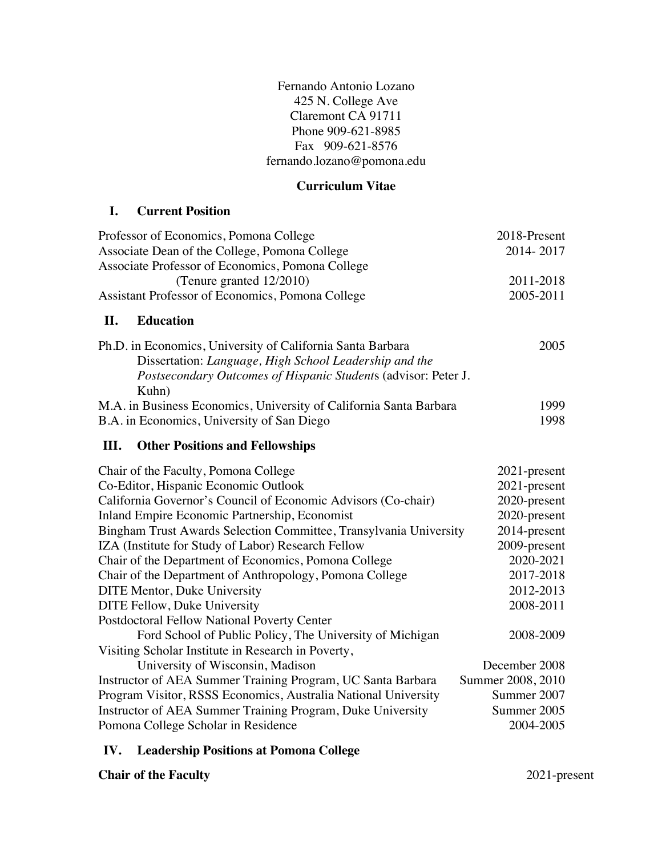Fernando Antonio Lozano 425 N. College Ave Claremont CA 91711 Phone 909-621-8985 Fax 909-621-8576 fernando.lozano@pomona.edu

### **Curriculum Vitae**

### **I. Current Position**

| Professor of Economics, Pomona College<br>Associate Dean of the College, Pomona College<br>Associate Professor of Economics, Pomona College                                                     | 2018-Present<br>2014-2017 |
|-------------------------------------------------------------------------------------------------------------------------------------------------------------------------------------------------|---------------------------|
| (Tenure granted 12/2010)                                                                                                                                                                        | 2011-2018                 |
| Assistant Professor of Economics, Pomona College                                                                                                                                                | 2005-2011                 |
| <b>Education</b><br>II.                                                                                                                                                                         |                           |
| Ph.D. in Economics, University of California Santa Barbara<br>Dissertation: Language, High School Leadership and the<br>Postsecondary Outcomes of Hispanic Students (advisor: Peter J.<br>Kuhn) | 2005                      |
| M.A. in Business Economics, University of California Santa Barbara                                                                                                                              | 1999                      |
| B.A. in Economics, University of San Diego                                                                                                                                                      | 1998                      |
| III.<br><b>Other Positions and Fellowships</b>                                                                                                                                                  |                           |
| Chair of the Faculty, Pomona College                                                                                                                                                            | 2021-present              |
| Co-Editor, Hispanic Economic Outlook                                                                                                                                                            | 2021-present              |
| California Governor's Council of Economic Advisors (Co-chair)                                                                                                                                   | 2020-present              |
| Inland Empire Economic Partnership, Economist                                                                                                                                                   | 2020-present              |
| Bingham Trust Awards Selection Committee, Transylvania University                                                                                                                               | 2014-present              |
| IZA (Institute for Study of Labor) Research Fellow                                                                                                                                              | 2009-present              |
| Chair of the Department of Economics, Pomona College                                                                                                                                            | 2020-2021                 |
| Chair of the Department of Anthropology, Pomona College                                                                                                                                         | 2017-2018                 |
| <b>DITE Mentor, Duke University</b>                                                                                                                                                             | 2012-2013                 |
| DITE Fellow, Duke University                                                                                                                                                                    | 2008-2011                 |
| Postdoctoral Fellow National Poverty Center                                                                                                                                                     |                           |
| Ford School of Public Policy, The University of Michigan                                                                                                                                        | 2008-2009                 |
| Visiting Scholar Institute in Research in Poverty,                                                                                                                                              |                           |
| University of Wisconsin, Madison                                                                                                                                                                | December 2008             |
| Instructor of AEA Summer Training Program, UC Santa Barbara                                                                                                                                     | Summer 2008, 2010         |
| Program Visitor, RSSS Economics, Australia National University                                                                                                                                  | Summer 2007               |
| Instructor of AEA Summer Training Program, Duke University                                                                                                                                      | Summer 2005               |
| Pomona College Scholar in Residence                                                                                                                                                             | 2004-2005                 |

## **IV. Leadership Positions at Pomona College**

**Chair of the Faculty** 2021-present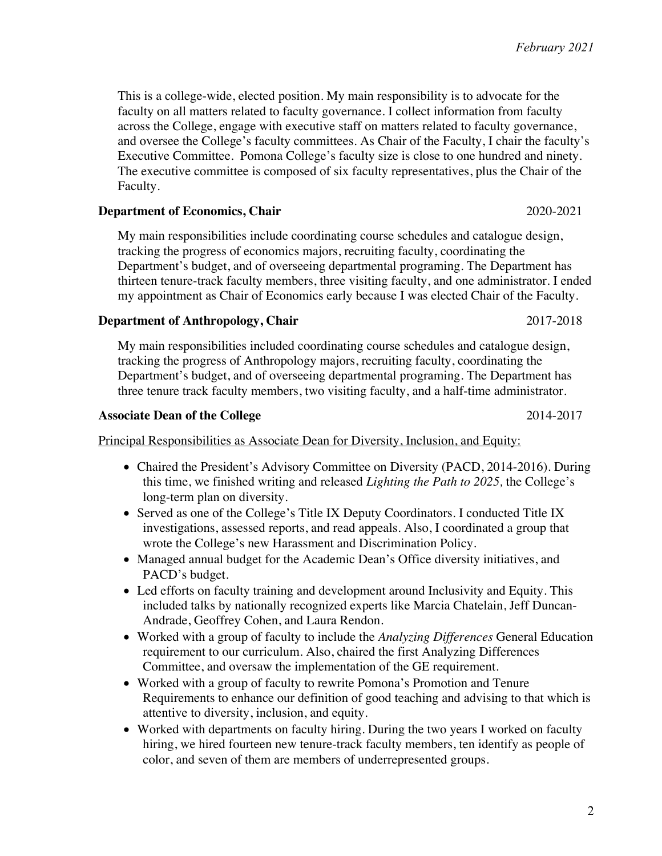2

This is a college-wide, elected position. My main responsibility is to advocate for the faculty on all matters related to faculty governance. I collect information from faculty across the College, engage with executive staff on matters related to faculty governance, and oversee the College's faculty committees. As Chair of the Faculty, I chair the faculty's Executive Committee. Pomona College's faculty size is close to one hundred and ninety. The executive committee is composed of six faculty representatives, plus the Chair of the Faculty.

### **Department of Economics, Chair** 2020-2021

My main responsibilities include coordinating course schedules and catalogue design, tracking the progress of economics majors, recruiting faculty, coordinating the Department's budget, and of overseeing departmental programing. The Department has thirteen tenure-track faculty members, three visiting faculty, and one administrator. I ended my appointment as Chair of Economics early because I was elected Chair of the Faculty.

### **Department of Anthropology, Chair** 2017-2018

My main responsibilities included coordinating course schedules and catalogue design, tracking the progress of Anthropology majors, recruiting faculty, coordinating the Department's budget, and of overseeing departmental programing. The Department has three tenure track faculty members, two visiting faculty, and a half-time administrator.

## Associate Dean of the College 2014-2017

Principal Responsibilities as Associate Dean for Diversity, Inclusion, and Equity:

- Chaired the President's Advisory Committee on Diversity (PACD, 2014-2016). During this time, we finished writing and released *Lighting the Path to 2025,* the College's long-term plan on diversity.
- Served as one of the College's Title IX Deputy Coordinators. I conducted Title IX investigations, assessed reports, and read appeals. Also, I coordinated a group that wrote the College's new Harassment and Discrimination Policy.
- Managed annual budget for the Academic Dean's Office diversity initiatives, and PACD's budget.
- Led efforts on faculty training and development around Inclusivity and Equity. This included talks by nationally recognized experts like Marcia Chatelain, Jeff Duncan-Andrade, Geoffrey Cohen, and Laura Rendon.
- Worked with a group of faculty to include the *Analyzing Differences* General Education requirement to our curriculum. Also, chaired the first Analyzing Differences Committee, and oversaw the implementation of the GE requirement.
- Worked with a group of faculty to rewrite Pomona's Promotion and Tenure Requirements to enhance our definition of good teaching and advising to that which is attentive to diversity, inclusion, and equity.
- Worked with departments on faculty hiring. During the two years I worked on faculty hiring, we hired fourteen new tenure-track faculty members, ten identify as people of color, and seven of them are members of underrepresented groups.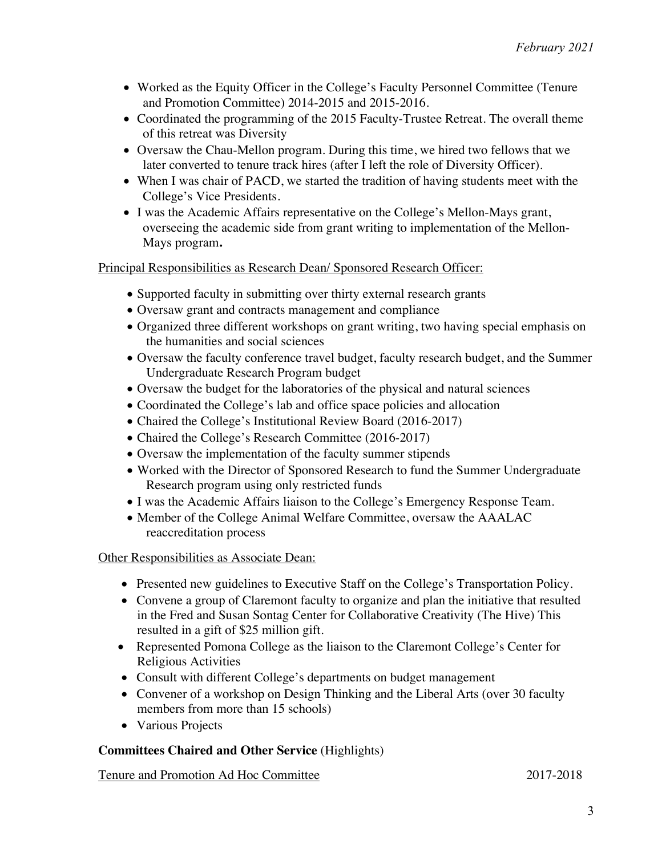- Worked as the Equity Officer in the College's Faculty Personnel Committee (Tenure and Promotion Committee) 2014-2015 and 2015-2016.
- Coordinated the programming of the 2015 Faculty-Trustee Retreat. The overall theme of this retreat was Diversity
- Oversaw the Chau-Mellon program. During this time, we hired two fellows that we later converted to tenure track hires (after I left the role of Diversity Officer).
- When I was chair of PACD, we started the tradition of having students meet with the College's Vice Presidents.
- I was the Academic Affairs representative on the College's Mellon-Mays grant, overseeing the academic side from grant writing to implementation of the Mellon-Mays program**.**

## Principal Responsibilities as Research Dean/ Sponsored Research Officer:

- Supported faculty in submitting over thirty external research grants
- Oversaw grant and contracts management and compliance
- Organized three different workshops on grant writing, two having special emphasis on the humanities and social sciences
- Oversaw the faculty conference travel budget, faculty research budget, and the Summer Undergraduate Research Program budget
- Oversaw the budget for the laboratories of the physical and natural sciences
- Coordinated the College's lab and office space policies and allocation
- Chaired the College's Institutional Review Board (2016-2017)
- Chaired the College's Research Committee (2016-2017)
- Oversaw the implementation of the faculty summer stipends
- Worked with the Director of Sponsored Research to fund the Summer Undergraduate Research program using only restricted funds
- I was the Academic Affairs liaison to the College's Emergency Response Team.
- Member of the College Animal Welfare Committee, oversaw the AAALAC reaccreditation process

## Other Responsibilities as Associate Dean:

- Presented new guidelines to Executive Staff on the College's Transportation Policy.
- Convene a group of Claremont faculty to organize and plan the initiative that resulted in the Fred and Susan Sontag Center for Collaborative Creativity (The Hive) This resulted in a gift of \$25 million gift.
- Represented Pomona College as the liaison to the Claremont College's Center for Religious Activities
- Consult with different College's departments on budget management
- Convener of a workshop on Design Thinking and the Liberal Arts (over 30 faculty members from more than 15 schools)
- Various Projects

## **Committees Chaired and Other Service** (Highlights)

Tenure and Promotion Ad Hoc Committee 2017-2018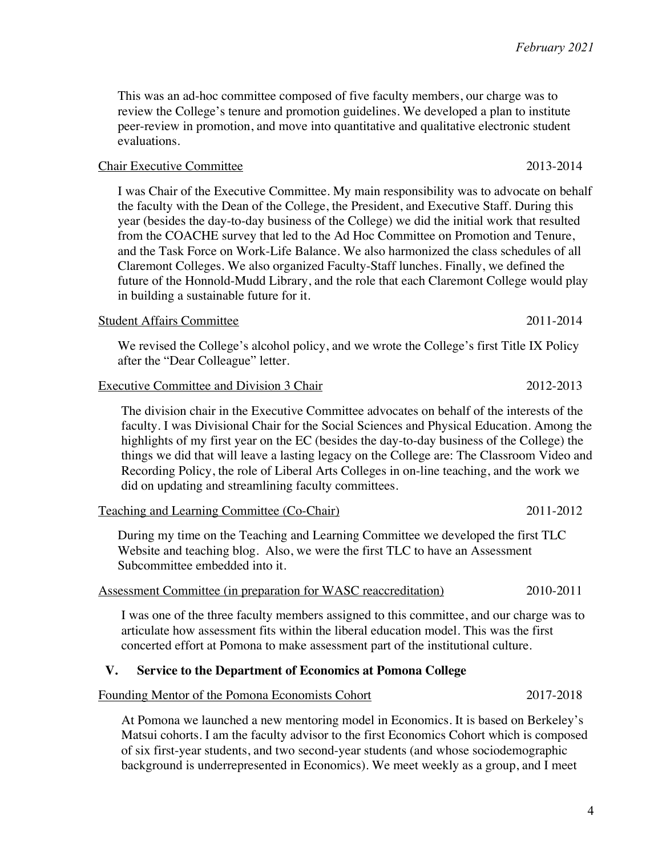This was an ad-hoc committee composed of five faculty members, our charge was to review the College's tenure and promotion guidelines. We developed a plan to institute peer-review in promotion, and move into quantitative and qualitative electronic student evaluations.

#### Chair Executive Committee 2013-2014

I was Chair of the Executive Committee. My main responsibility was to advocate on behalf the faculty with the Dean of the College, the President, and Executive Staff. During this year (besides the day-to-day business of the College) we did the initial work that resulted from the COACHE survey that led to the Ad Hoc Committee on Promotion and Tenure, and the Task Force on Work-Life Balance. We also harmonized the class schedules of all Claremont Colleges. We also organized Faculty-Staff lunches. Finally, we defined the future of the Honnold-Mudd Library, and the role that each Claremont College would play in building a sustainable future for it.

### Student Affairs Committee 2011-2014

We revised the College's alcohol policy, and we wrote the College's first Title IX Policy after the "Dear Colleague" letter.

### Executive Committee and Division 3 Chair 2012-2013

The division chair in the Executive Committee advocates on behalf of the interests of the faculty. I was Divisional Chair for the Social Sciences and Physical Education. Among the highlights of my first year on the EC (besides the day-to-day business of the College) the things we did that will leave a lasting legacy on the College are: The Classroom Video and Recording Policy, the role of Liberal Arts Colleges in on-line teaching, and the work we did on updating and streamlining faculty committees.

| Teaching and Learning Committee (Co-Chair) | 2011-2012 |
|--------------------------------------------|-----------|
|                                            |           |

During my time on the Teaching and Learning Committee we developed the first TLC Website and teaching blog. Also, we were the first TLC to have an Assessment Subcommittee embedded into it.

## Assessment Committee (in preparation for WASC reaccreditation) 2010-2011

I was one of the three faculty members assigned to this committee, and our charge was to articulate how assessment fits within the liberal education model. This was the first concerted effort at Pomona to make assessment part of the institutional culture.

## **V. Service to the Department of Economics at Pomona College**

## Founding Mentor of the Pomona Economists Cohort 2017-2018

At Pomona we launched a new mentoring model in Economics. It is based on Berkeley's Matsui cohorts. I am the faculty advisor to the first Economics Cohort which is composed of six first-year students, and two second-year students (and whose sociodemographic background is underrepresented in Economics). We meet weekly as a group, and I meet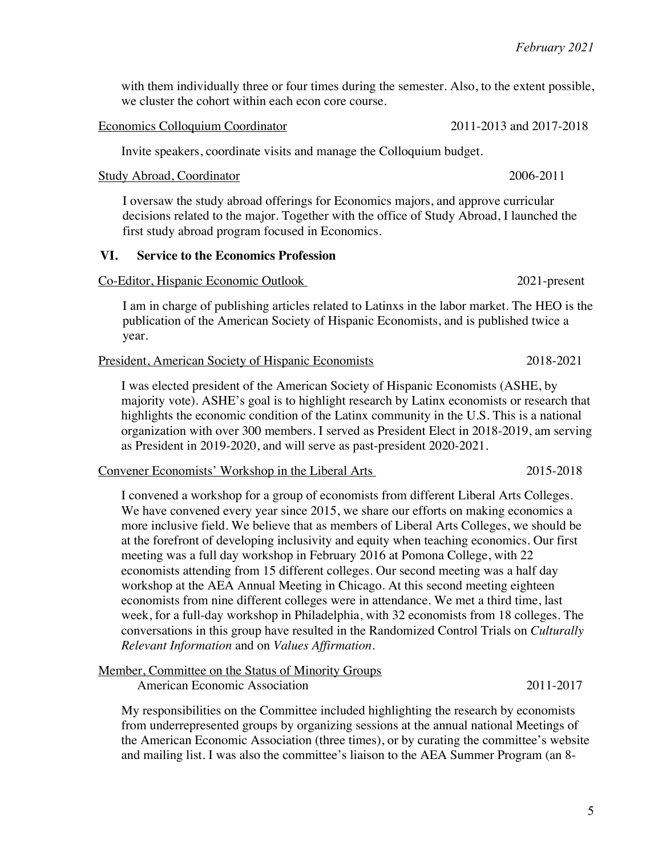with them individually three or four times during the semester. Also, to the extent possible, we cluster the cohort within each econ core course.

#### Economics Colloquium Coordinator 2011-2013 and 2017-2018

Invite speakers, coordinate visits and manage the Colloquium budget.

#### Study Abroad, Coordinator 2006-2011

I oversaw the study abroad offerings for Economics majors, and approve curricular decisions related to the major. Together with the office of Study Abroad, I launched the first study abroad program focused in Economics.

#### **VI. Service to the Economics Profession**

#### Co-Editor, Hispanic Economic Outlook 2021-present

I am in charge of publishing articles related to Latinxs in the labor market. The HEO is the publication of the American Society of Hispanic Economists, and is published twice a year.

#### President, American Society of Hispanic Economists 2018-2021

I was elected president of the American Society of Hispanic Economists (ASHE, by majority vote). ASHE's goal is to highlight research by Latinx economists or research that highlights the economic condition of the Latinx community in the U.S. This is a national organization with over 300 members. I served as President Elect in 2018-2019, am serving as President in 2019-2020, and will serve as past-president 2020-2021.

#### Convener Economists' Workshop in the Liberal Arts 2015-2018

I convened a workshop for a group of economists from different Liberal Arts Colleges. We have convened every year since 2015, we share our efforts on making economics a more inclusive field. We believe that as members of Liberal Arts Colleges, we should be at the forefront of developing inclusivity and equity when teaching economics. Our first meeting was a full day workshop in February 2016 at Pomona College, with 22 economists attending from 15 different colleges. Our second meeting was a half day workshop at the AEA Annual Meeting in Chicago. At this second meeting eighteen economists from nine different colleges were in attendance. We met a third time, last week, for a full-day workshop in Philadelphia, with 32 economists from 18 colleges. The conversations in this group have resulted in the Randomized Control Trials on *Culturally Relevant Information* and on *Values Affirmation*.

#### Member, Committee on the Status of Minority Groups

American Economic Association 2011-2017

My responsibilities on the Committee included highlighting the research by economists from underrepresented groups by organizing sessions at the annual national Meetings of the American Economic Association (three times), or by curating the committee's website and mailing list. I was also the committee's liaison to the AEA Summer Program (an 8-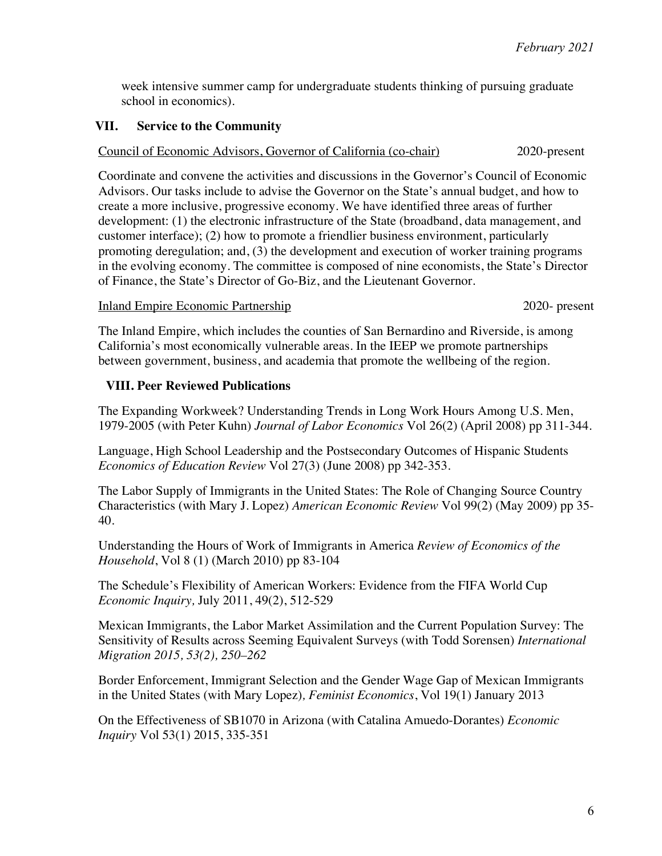week intensive summer camp for undergraduate students thinking of pursuing graduate school in economics).

#### **VII. Service to the Community**

### Council of Economic Advisors, Governor of California (co-chair) 2020-present

Coordinate and convene the activities and discussions in the Governor's Council of Economic Advisors. Our tasks include to advise the Governor on the State's annual budget, and how to create a more inclusive, progressive economy. We have identified three areas of further development: (1) the electronic infrastructure of the State (broadband, data management, and customer interface); (2) how to promote a friendlier business environment, particularly promoting deregulation; and, (3) the development and execution of worker training programs in the evolving economy. The committee is composed of nine economists, the State's Director of Finance, the State's Director of Go-Biz, and the Lieutenant Governor.

#### Inland Empire Economic Partnership 2020- present

The Inland Empire, which includes the counties of San Bernardino and Riverside, is among California's most economically vulnerable areas. In the IEEP we promote partnerships between government, business, and academia that promote the wellbeing of the region.

#### **VIII. Peer Reviewed Publications**

The Expanding Workweek? Understanding Trends in Long Work Hours Among U.S. Men, 1979-2005 (with Peter Kuhn) *Journal of Labor Economics* Vol 26(2) (April 2008) pp 311-344.

Language, High School Leadership and the Postsecondary Outcomes of Hispanic Students *Economics of Education Review* Vol 27(3) (June 2008) pp 342-353.

The Labor Supply of Immigrants in the United States: The Role of Changing Source Country Characteristics (with Mary J. Lopez) *American Economic Review* Vol 99(2) (May 2009) pp 35- 40.

Understanding the Hours of Work of Immigrants in America *Review of Economics of the Household*, Vol 8 (1) (March 2010) pp 83-104

The Schedule's Flexibility of American Workers: Evidence from the FIFA World Cup *Economic Inquiry,* July 2011, 49(2), 512-529

Mexican Immigrants, the Labor Market Assimilation and the Current Population Survey: The Sensitivity of Results across Seeming Equivalent Surveys (with Todd Sorensen) *International Migration 2015, 53(2), 250–262*

Border Enforcement, Immigrant Selection and the Gender Wage Gap of Mexican Immigrants in the United States (with Mary Lopez)*, Feminist Economics*, Vol 19(1) January 2013

On the Effectiveness of SB1070 in Arizona (with Catalina Amuedo-Dorantes) *Economic Inquiry* Vol 53(1) 2015, 335-351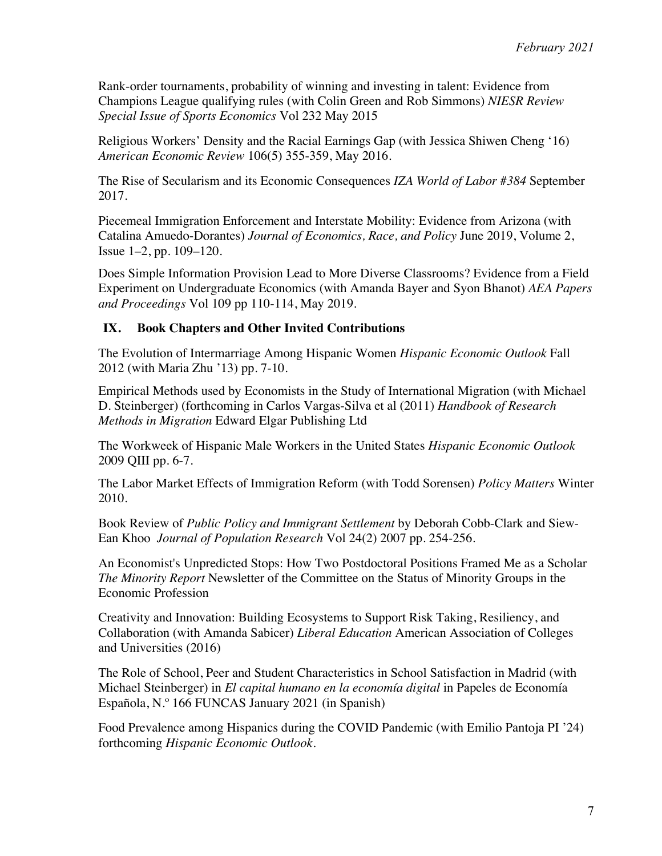Rank-order tournaments, probability of winning and investing in talent: Evidence from Champions League qualifying rules (with Colin Green and Rob Simmons) *NIESR Review Special Issue of Sports Economics* Vol 232 May 2015

Religious Workers' Density and the Racial Earnings Gap (with Jessica Shiwen Cheng '16) *American Economic Review* 106(5) 355-359, May 2016.

The Rise of Secularism and its Economic Consequences *IZA World of Labor #384* September 2017.

Piecemeal Immigration Enforcement and Interstate Mobility: Evidence from Arizona (with Catalina Amuedo-Dorantes) *Journal of Economics, Race, and Policy* June 2019, Volume 2, Issue 1–2, pp. 109–120.

Does Simple Information Provision Lead to More Diverse Classrooms? Evidence from a Field Experiment on Undergraduate Economics (with Amanda Bayer and Syon Bhanot) *AEA Papers and Proceedings* Vol 109 pp 110-114, May 2019.

#### **IX. Book Chapters and Other Invited Contributions**

The Evolution of Intermarriage Among Hispanic Women *Hispanic Economic Outlook* Fall 2012 (with Maria Zhu '13) pp. 7-10.

Empirical Methods used by Economists in the Study of International Migration (with Michael D. Steinberger) (forthcoming in Carlos Vargas-Silva et al (2011) *Handbook of Research Methods in Migration* Edward Elgar Publishing Ltd

The Workweek of Hispanic Male Workers in the United States *Hispanic Economic Outlook*  2009 QIII pp. 6-7.

The Labor Market Effects of Immigration Reform (with Todd Sorensen) *Policy Matters* Winter 2010.

Book Review of *Public Policy and Immigrant Settlement* by Deborah Cobb-Clark and Siew-Ean Khoo *Journal of Population Research* Vol 24(2) 2007 pp. 254-256.

An Economist's Unpredicted Stops: How Two Postdoctoral Positions Framed Me as a Scholar *The Minority Report* Newsletter of the Committee on the Status of Minority Groups in the Economic Profession

Creativity and Innovation: Building Ecosystems to Support Risk Taking, Resiliency, and Collaboration (with Amanda Sabicer) *Liberal Education* American Association of Colleges and Universities (2016)

The Role of School, Peer and Student Characteristics in School Satisfaction in Madrid (with Michael Steinberger) in *El capital humano en la economía digital* in Papeles de Economía Española, N.º 166 FUNCAS January 2021 (in Spanish)

Food Prevalence among Hispanics during the COVID Pandemic (with Emilio Pantoja PI '24) forthcoming *Hispanic Economic Outlook.*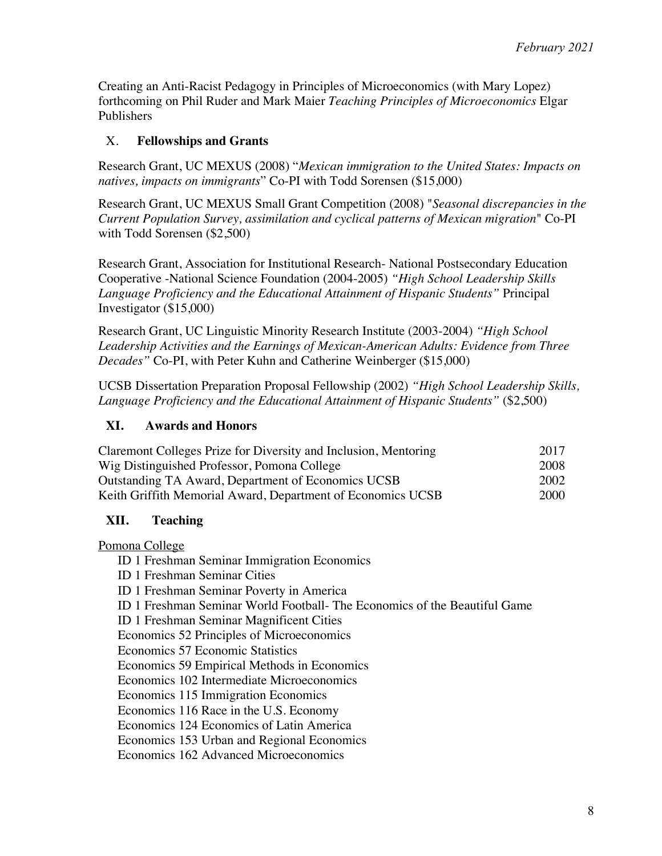Creating an Anti-Racist Pedagogy in Principles of Microeconomics (with Mary Lopez) forthcoming on Phil Ruder and Mark Maier *Teaching Principles of Microeconomics* Elgar Publishers

## X. **Fellowships and Grants**

Research Grant, UC MEXUS (2008) "*Mexican immigration to the United States: Impacts on natives, impacts on immigrants*" Co-PI with Todd Sorensen (\$15,000)

Research Grant, UC MEXUS Small Grant Competition (2008) "*Seasonal discrepancies in the Current Population Survey, assimilation and cyclical patterns of Mexican migration*" Co-PI with Todd Sorensen (\$2,500)

Research Grant, Association for Institutional Research- National Postsecondary Education Cooperative -National Science Foundation (2004-2005) *"High School Leadership Skills Language Proficiency and the Educational Attainment of Hispanic Students"* Principal Investigator (\$15,000)

Research Grant, UC Linguistic Minority Research Institute (2003-2004) *"High School Leadership Activities and the Earnings of Mexican-American Adults: Evidence from Three Decades"* Co-PI, with Peter Kuhn and Catherine Weinberger (\$15,000)

UCSB Dissertation Preparation Proposal Fellowship (2002) *"High School Leadership Skills, Language Proficiency and the Educational Attainment of Hispanic Students"* (\$2,500)

## **XI. Awards and Honors**

| Claremont Colleges Prize for Diversity and Inclusion, Mentoring | 2017 |
|-----------------------------------------------------------------|------|
| Wig Distinguished Professor, Pomona College                     | 2008 |
| Outstanding TA Award, Department of Economics UCSB              | 2002 |
| Keith Griffith Memorial Award, Department of Economics UCSB     | 2000 |

## **XII. Teaching**

Pomona College

ID 1 Freshman Seminar Immigration Economics

ID 1 Freshman Seminar Cities

ID 1 Freshman Seminar Poverty in America

ID 1 Freshman Seminar World Football- The Economics of the Beautiful Game

ID 1 Freshman Seminar Magnificent Cities

Economics 52 Principles of Microeconomics

Economics 57 Economic Statistics

Economics 59 Empirical Methods in Economics

Economics 102 Intermediate Microeconomics

Economics 115 Immigration Economics

Economics 116 Race in the U.S. Economy

Economics 124 Economics of Latin America

Economics 153 Urban and Regional Economics

Economics 162 Advanced Microeconomics